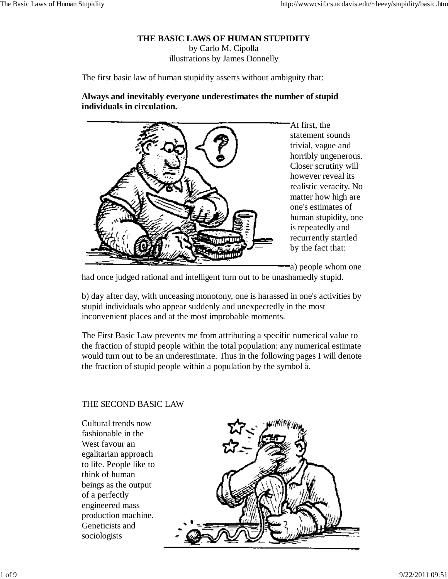# **THE BASIC LAWS OF HUMAN STUPIDITY**  by Carlo M. Cipolla

illustrations by James Donnelly

The first basic law of human stupidity asserts without ambiguity that:

### **Always and inevitably everyone underestimates the number of stupid individuals in circulation.**



At first, the statement sounds trivial, vague and horribly ungenerous. Closer scrutiny will however reveal its realistic veracity. No matter how high are one's estimates of human stupidity, one is repeatedly and recurrently startled by the fact that:

a) people whom one

had once judged rational and intelligent turn out to be unashamedly stupid.

b) day after day, with unceasing monotony, one is harassed in one's activities by stupid individuals who appear suddenly and unexpectedly in the most inconvenient places and at the most improbable moments.

The First Basic Law prevents me from attributing a specific numerical value to the fraction of stupid people within the total population: any numerical estimate would turn out to be an underestimate. Thus in the following pages I will denote the fraction of stupid people within a population by the symbol å.

## THE SECOND BASIC LAW

Cultural trends now fashionable in the West favour an egalitarian approach to life. People like to think of human beings as the output of a perfectly engineered mass production machine. Geneticists and sociologists

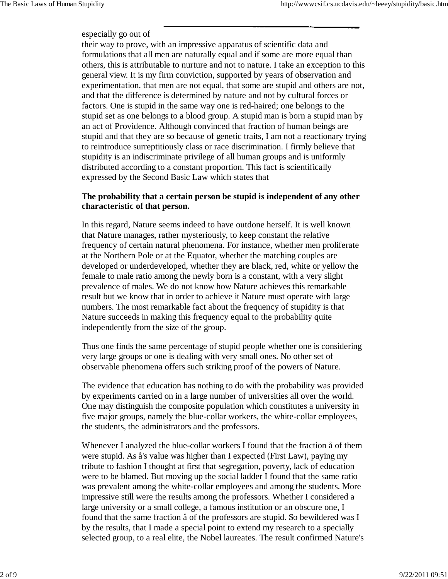### especially go out of

their way to prove, with an impressive apparatus of scientific data and formulations that all men are naturally equal and if some are more equal than others, this is attributable to nurture and not to nature. I take an exception to this general view. It is my firm conviction, supported by years of observation and experimentation, that men are not equal, that some are stupid and others are not, and that the difference is determined by nature and not by cultural forces or factors. One is stupid in the same way one is red-haired; one belongs to the stupid set as one belongs to a blood group. A stupid man is born a stupid man by an act of Providence. Although convinced that fraction of human beings are stupid and that they are so because of genetic traits, I am not a reactionary trying to reintroduce surreptitiously class or race discrimination. I firmly believe that stupidity is an indiscriminate privilege of all human groups and is uniformly distributed according to a constant proportion. This fact is scientifically expressed by the Second Basic Law which states that

#### **The probability that a certain person be stupid is independent of any other characteristic of that person.**

In this regard, Nature seems indeed to have outdone herself. It is well known that Nature manages, rather mysteriously, to keep constant the relative frequency of certain natural phenomena. For instance, whether men proliferate at the Northern Pole or at the Equator, whether the matching couples are developed or underdeveloped, whether they are black, red, white or yellow the female to male ratio among the newly born is a constant, with a very slight prevalence of males. We do not know how Nature achieves this remarkable result but we know that in order to achieve it Nature must operate with large numbers. The most remarkable fact about the frequency of stupidity is that Nature succeeds in making this frequency equal to the probability quite independently from the size of the group.

Thus one finds the same percentage of stupid people whether one is considering very large groups or one is dealing with very small ones. No other set of observable phenomena offers such striking proof of the powers of Nature.

The evidence that education has nothing to do with the probability was provided by experiments carried on in a large number of universities all over the world. One may distinguish the composite population which constitutes a university in five major groups, namely the blue-collar workers, the white-collar employees, the students, the administrators and the professors.

Whenever I analyzed the blue-collar workers I found that the fraction å of them were stupid. As å's value was higher than I expected (First Law), paying my tribute to fashion I thought at first that segregation, poverty, lack of education were to be blamed. But moving up the social ladder I found that the same ratio was prevalent among the white-collar employees and among the students. More impressive still were the results among the professors. Whether I considered a large university or a small college, a famous institution or an obscure one, I found that the same fraction å of the professors are stupid. So bewildered was I by the results, that I made a special point to extend my research to a specially selected group, to a real elite, the Nobel laureates. The result confirmed Nature's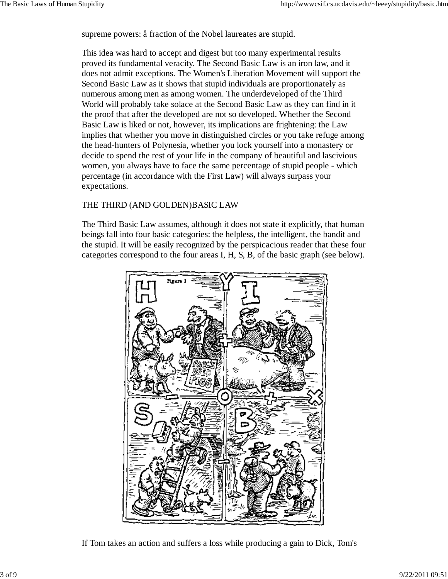supreme powers: å fraction of the Nobel laureates are stupid.

This idea was hard to accept and digest but too many experimental results proved its fundamental veracity. The Second Basic Law is an iron law, and it does not admit exceptions. The Women's Liberation Movement will support the Second Basic Law as it shows that stupid individuals are proportionately as numerous among men as among women. The underdeveloped of the Third World will probably take solace at the Second Basic Law as they can find in it the proof that after the developed are not so developed. Whether the Second Basic Law is liked or not, however, its implications are frightening: the Law implies that whether you move in distinguished circles or you take refuge among the head-hunters of Polynesia, whether you lock yourself into a monastery or decide to spend the rest of your life in the company of beautiful and lascivious women, you always have to face the same percentage of stupid people - which percentage (in accordance with the First Law) will always surpass your expectations.

#### THE THIRD (AND GOLDEN)BASIC LAW

The Third Basic Law assumes, although it does not state it explicitly, that human beings fall into four basic categories: the helpless, the intelligent, the bandit and the stupid. It will be easily recognized by the perspicacious reader that these four categories correspond to the four areas I, H, S, B, of the basic graph (see below).



If Tom takes an action and suffers a loss while producing a gain to Dick, Tom's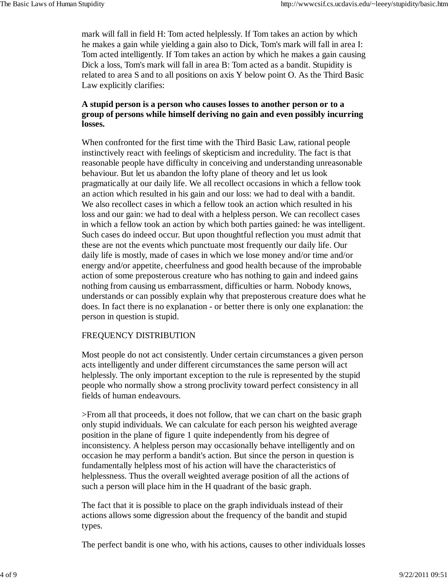mark will fall in field H: Tom acted helplessly. If Tom takes an action by which he makes a gain while yielding a gain also to Dick, Tom's mark will fall in area I: Tom acted intelligently. If Tom takes an action by which he makes a gain causing Dick a loss, Tom's mark will fall in area B: Tom acted as a bandit. Stupidity is related to area S and to all positions on axis Y below point O. As the Third Basic Law explicitly clarifies:

#### **A stupid person is a person who causes losses to another person or to a group of persons while himself deriving no gain and even possibly incurring losses.**

When confronted for the first time with the Third Basic Law, rational people instinctively react with feelings of skepticism and incredulity. The fact is that reasonable people have difficulty in conceiving and understanding unreasonable behaviour. But let us abandon the lofty plane of theory and let us look pragmatically at our daily life. We all recollect occasions in which a fellow took an action which resulted in his gain and our loss: we had to deal with a bandit. We also recollect cases in which a fellow took an action which resulted in his loss and our gain: we had to deal with a helpless person. We can recollect cases in which a fellow took an action by which both parties gained: he was intelligent. Such cases do indeed occur. But upon thoughtful reflection you must admit that these are not the events which punctuate most frequently our daily life. Our daily life is mostly, made of cases in which we lose money and/or time and/or energy and/or appetite, cheerfulness and good health because of the improbable action of some preposterous creature who has nothing to gain and indeed gains nothing from causing us embarrassment, difficulties or harm. Nobody knows, understands or can possibly explain why that preposterous creature does what he does. In fact there is no explanation - or better there is only one explanation: the person in question is stupid.

### FREQUENCY DISTRIBUTION

Most people do not act consistently. Under certain circumstances a given person acts intelligently and under different circumstances the same person will act helplessly. The only important exception to the rule is represented by the stupid people who normally show a strong proclivity toward perfect consistency in all fields of human endeavours.

>From all that proceeds, it does not follow, that we can chart on the basic graph only stupid individuals. We can calculate for each person his weighted average position in the plane of figure 1 quite independently from his degree of inconsistency. A helpless person may occasionally behave intelligently and on occasion he may perform a bandit's action. But since the person in question is fundamentally helpless most of his action will have the characteristics of helplessness. Thus the overall weighted average position of all the actions of such a person will place him in the H quadrant of the basic graph.

The fact that it is possible to place on the graph individuals instead of their actions allows some digression about the frequency of the bandit and stupid types.

The perfect bandit is one who, with his actions, causes to other individuals losses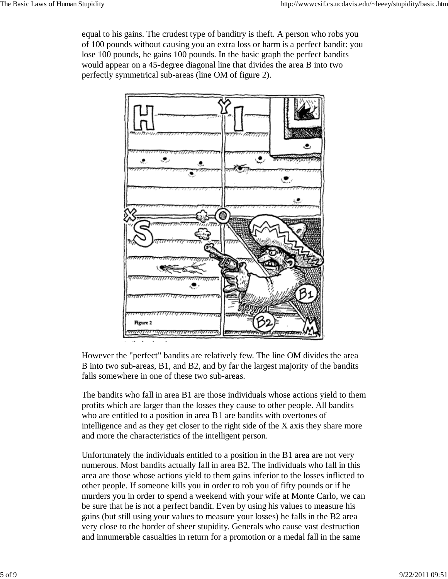equal to his gains. The crudest type of banditry is theft. A person who robs you of 100 pounds without causing you an extra loss or harm is a perfect bandit: you lose 100 pounds, he gains 100 pounds. In the basic graph the perfect bandits would appear on a 45-degree diagonal line that divides the area B into two perfectly symmetrical sub-areas (line OM of figure 2).



However the "perfect" bandits are relatively few. The line OM divides the area B into two sub-areas, B1, and B2, and by far the largest majority of the bandits falls somewhere in one of these two sub-areas.

The bandits who fall in area B1 are those individuals whose actions yield to them profits which are larger than the losses they cause to other people. All bandits who are entitled to a position in area B1 are bandits with overtones of intelligence and as they get closer to the right side of the X axis they share more and more the characteristics of the intelligent person.

Unfortunately the individuals entitled to a position in the B1 area are not very numerous. Most bandits actually fall in area B2. The individuals who fall in this area are those whose actions yield to them gains inferior to the losses inflicted to other people. If someone kills you in order to rob you of fifty pounds or if he murders you in order to spend a weekend with your wife at Monte Carlo, we can be sure that he is not a perfect bandit. Even by using his values to measure his gains (but still using your values to measure your losses) he falls in the B2 area very close to the border of sheer stupidity. Generals who cause vast destruction and innumerable casualties in return for a promotion or a medal fall in the same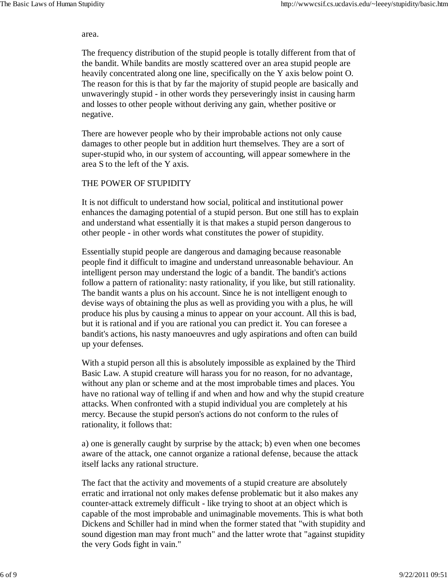area.

The frequency distribution of the stupid people is totally different from that of the bandit. While bandits are mostly scattered over an area stupid people are heavily concentrated along one line, specifically on the Y axis below point O. The reason for this is that by far the majority of stupid people are basically and unwaveringly stupid - in other words they perseveringly insist in causing harm and losses to other people without deriving any gain, whether positive or negative.

There are however people who by their improbable actions not only cause damages to other people but in addition hurt themselves. They are a sort of super-stupid who, in our system of accounting, will appear somewhere in the area S to the left of the Y axis.

### THE POWER OF STUPIDITY

It is not difficult to understand how social, political and institutional power enhances the damaging potential of a stupid person. But one still has to explain and understand what essentially it is that makes a stupid person dangerous to other people - in other words what constitutes the power of stupidity.

Essentially stupid people are dangerous and damaging because reasonable people find it difficult to imagine and understand unreasonable behaviour. An intelligent person may understand the logic of a bandit. The bandit's actions follow a pattern of rationality: nasty rationality, if you like, but still rationality. The bandit wants a plus on his account. Since he is not intelligent enough to devise ways of obtaining the plus as well as providing you with a plus, he will produce his plus by causing a minus to appear on your account. All this is bad, but it is rational and if you are rational you can predict it. You can foresee a bandit's actions, his nasty manoeuvres and ugly aspirations and often can build up your defenses.

With a stupid person all this is absolutely impossible as explained by the Third Basic Law. A stupid creature will harass you for no reason, for no advantage, without any plan or scheme and at the most improbable times and places. You have no rational way of telling if and when and how and why the stupid creature attacks. When confronted with a stupid individual you are completely at his mercy. Because the stupid person's actions do not conform to the rules of rationality, it follows that:

a) one is generally caught by surprise by the attack; b) even when one becomes aware of the attack, one cannot organize a rational defense, because the attack itself lacks any rational structure.

The fact that the activity and movements of a stupid creature are absolutely erratic and irrational not only makes defense problematic but it also makes any counter-attack extremely difficult - like trying to shoot at an object which is capable of the most improbable and unimaginable movements. This is what both Dickens and Schiller had in mind when the former stated that "with stupidity and sound digestion man may front much" and the latter wrote that "against stupidity the very Gods fight in vain."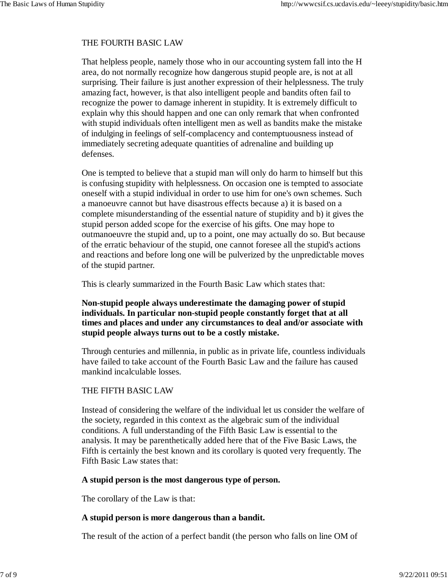### THE FOURTH BASIC LAW

That helpless people, namely those who in our accounting system fall into the H area, do not normally recognize how dangerous stupid people are, is not at all surprising. Their failure is just another expression of their helplessness. The truly amazing fact, however, is that also intelligent people and bandits often fail to recognize the power to damage inherent in stupidity. It is extremely difficult to explain why this should happen and one can only remark that when confronted with stupid individuals often intelligent men as well as bandits make the mistake of indulging in feelings of self-complacency and contemptuousness instead of immediately secreting adequate quantities of adrenaline and building up defenses.

One is tempted to believe that a stupid man will only do harm to himself but this is confusing stupidity with helplessness. On occasion one is tempted to associate oneself with a stupid individual in order to use him for one's own schemes. Such a manoeuvre cannot but have disastrous effects because a) it is based on a complete misunderstanding of the essential nature of stupidity and b) it gives the stupid person added scope for the exercise of his gifts. One may hope to outmanoeuvre the stupid and, up to a point, one may actually do so. But because of the erratic behaviour of the stupid, one cannot foresee all the stupid's actions and reactions and before long one will be pulverized by the unpredictable moves of the stupid partner.

This is clearly summarized in the Fourth Basic Law which states that:

#### **Non-stupid people always underestimate the damaging power of stupid individuals. In particular non-stupid people constantly forget that at all times and places and under any circumstances to deal and/or associate with stupid people always turns out to be a costly mistake.**

Through centuries and millennia, in public as in private life, countless individuals have failed to take account of the Fourth Basic Law and the failure has caused mankind incalculable losses.

### THE FIFTH BASIC LAW

Instead of considering the welfare of the individual let us consider the welfare of the society, regarded in this context as the algebraic sum of the individual conditions. A full understanding of the Fifth Basic Law is essential to the analysis. It may be parenthetically added here that of the Five Basic Laws, the Fifth is certainly the best known and its corollary is quoted very frequently. The Fifth Basic Law states that:

### **A stupid person is the most dangerous type of person.**

The corollary of the Law is that:

#### **A stupid person is more dangerous than a bandit.**

The result of the action of a perfect bandit (the person who falls on line OM of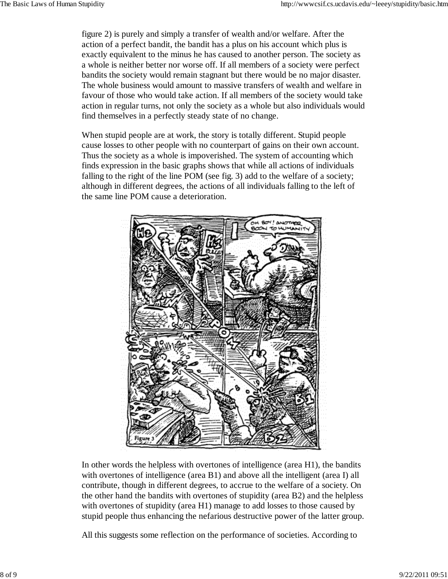figure 2) is purely and simply a transfer of wealth and/or welfare. After the action of a perfect bandit, the bandit has a plus on his account which plus is exactly equivalent to the minus he has caused to another person. The society as a whole is neither better nor worse off. If all members of a society were perfect bandits the society would remain stagnant but there would be no major disaster. The whole business would amount to massive transfers of wealth and welfare in favour of those who would take action. If all members of the society would take action in regular turns, not only the society as a whole but also individuals would find themselves in a perfectly steady state of no change.

When stupid people are at work, the story is totally different. Stupid people cause losses to other people with no counterpart of gains on their own account. Thus the society as a whole is impoverished. The system of accounting which finds expression in the basic graphs shows that while all actions of individuals falling to the right of the line POM (see fig. 3) add to the welfare of a society; although in different degrees, the actions of all individuals falling to the left of the same line POM cause a deterioration.



In other words the helpless with overtones of intelligence (area H1), the bandits with overtones of intelligence (area B1) and above all the intelligent (area I) all contribute, though in different degrees, to accrue to the welfare of a society. On the other hand the bandits with overtones of stupidity (area B2) and the helpless with overtones of stupidity (area H1) manage to add losses to those caused by stupid people thus enhancing the nefarious destructive power of the latter group.

All this suggests some reflection on the performance of societies. According to